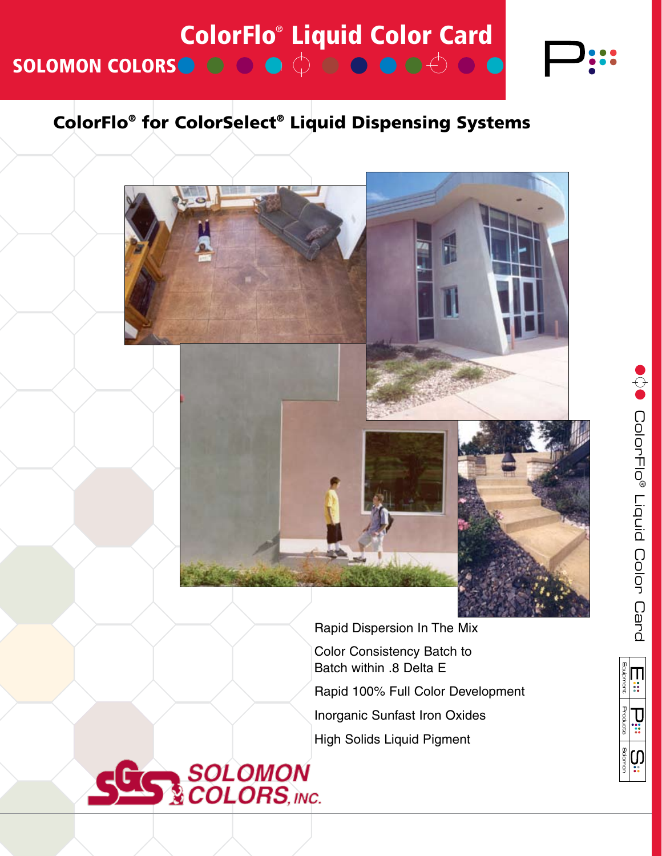

# ColorFlo® for ColorSelect® Liquid Dispensing Systems



Rapid Dispersion In The Mix Color Consistency Batch to Batch within .8 Delta E Rapid 100% Full Color Development Inorganic Sunfast Iron Oxides High Solids Liquid Pigment



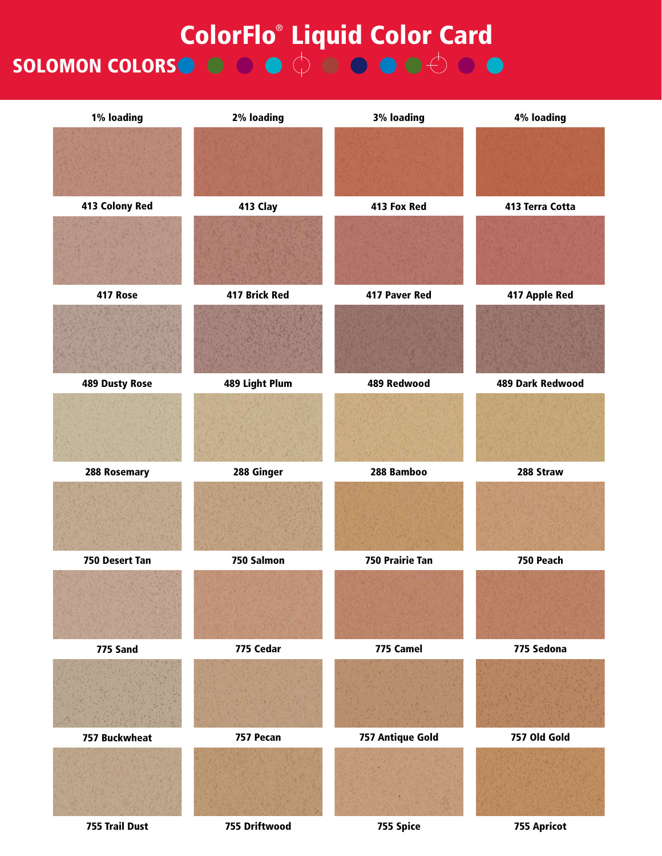# SOLOMON COLORS **ColorFlo® Liquid Color Card**

413 Colony Red 413 Clay 413 Fox Red 413 Terra Cotta 417 Rose 417 Brick Red 417 Paver Red 417 Apple Red 489 Dusty Rose 489 Light Plum 489 Redwood 489 Dark Redwood 288 Rosemary 288 Ginger 288 Bamboo 288 Straw 750 Desert Tan 750 Salmon 750 Prairie Tan 750 Peach 775 Sand 775 Cedar 775 Camel 775 Sedona 757 Buckwheat 757 Pecan 757 Antique Gold 757 Old Gold 755 Trail Dust 755 Driftwood 755 Spice 755 Apricot 1% loading 2% loading 3% loading 4% loading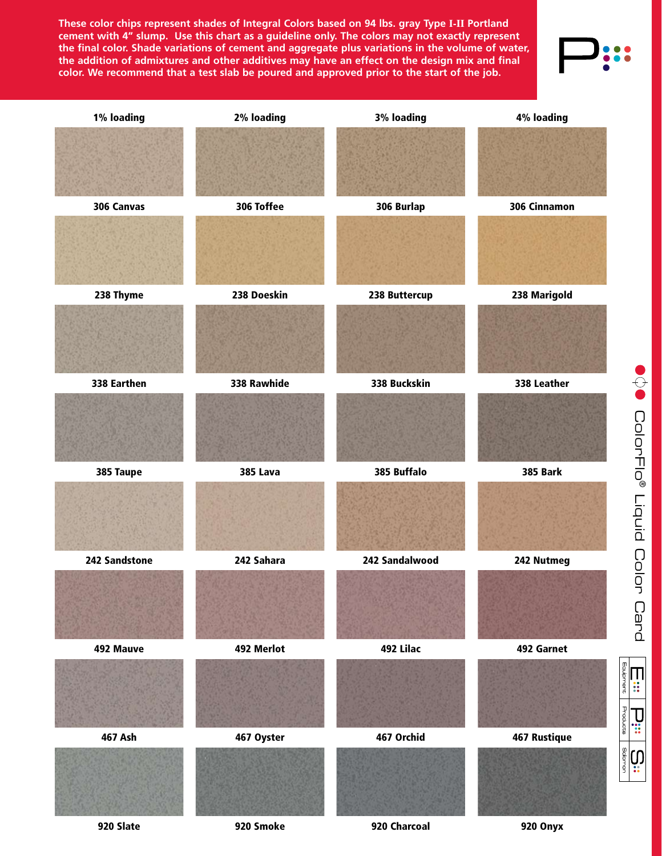**These color chips represent shades of Integral Colors based on 94 lbs. gray Type I-II Portland cement with 4" slump. Use this chart as a guideline only. The colors may not exactly represent the final color. Shade variations of cement and aggregate plus variations in the volume of water, the addition of admixtures and other additives may have an effect on the design mix and final color. We recommend that a test slab be poured and approved prior to the start of the job.**



920 Slate 920 Smoke 920 Charcoal 920 Onyx

Equipment  $\blacksquare$ ÷

Products  $\prod_{i=1}^n$ 

**Solomon** CO)

285 201